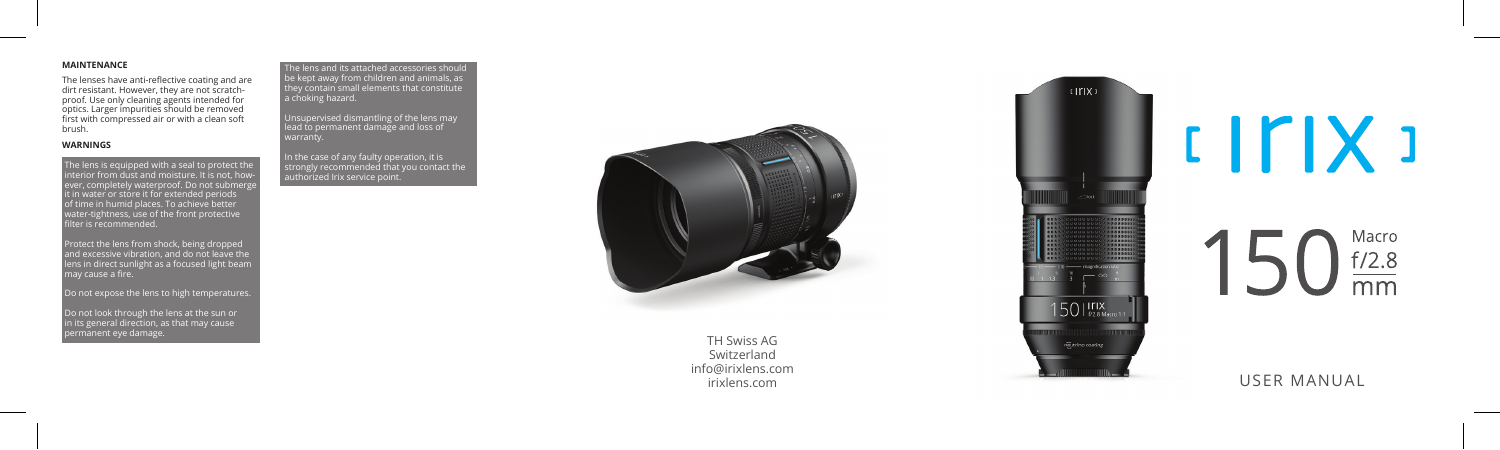# **MAINTENANCE**

The lenses have anti-reflective coating and are dirt resistant. However, they are not scratchproof. Use only cleaning agents intended for optics. Larger impurities should be removed first with compressed air or with a clean soft brush.

# **WARNINGS**

The lens is equipped with a seal to protect the Interior from dust and moisture. It is not, how ever, completely waterproof. Do not submerg it in water or store it for extended periods of time in humid places. To achieve better water-tightness, use of the front protective filter is recommended.

Protect the lens from shock, being dropped and excessive vibration, and do not leave the lens in direct sunlight as a focused light beam may cause a fire.

Do not expose the lens to high temperatures.

Do not look through the lens at the sun or in its general direction, as that may cause<br>permanent eye damage. permanent eye damage. TH Swiss AG

The lens and its attached accessories should be kept away from children and animals, as they contain small elements that constitute a choking hazard.

Unsupervised dismantling of the lens may lead to permanent damage and loss of

In the case of any faulty operation, it is strongly recommended that you contact the authorized Irix service point.



Switzerland info@irixlens.com



 $IITIX$ Macro  $f/2.8$  $\overline{mm}$ 

USER MANUAL